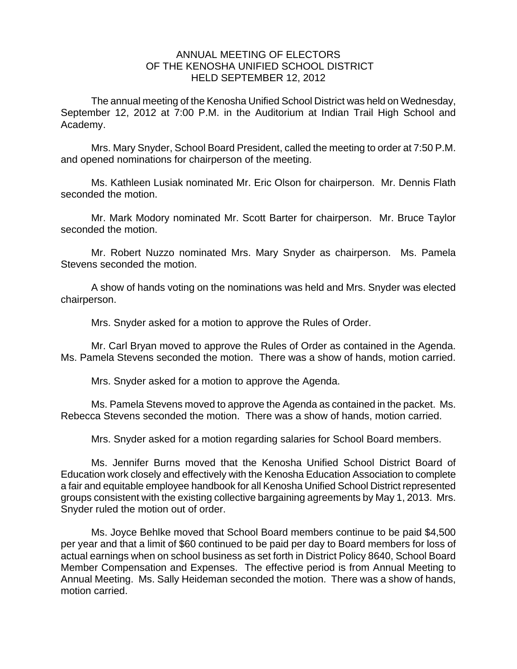## ANNUAL MEETING OF ELECTORS OF THE KENOSHA UNIFIED SCHOOL DISTRICT HELD SEPTEMBER 12, 2012

The annual meeting of the Kenosha Unified School District was held on Wednesday, September 12, 2012 at 7:00 P.M. in the Auditorium at Indian Trail High School and Academy.

Mrs. Mary Snyder, School Board President, called the meeting to order at 7:50 P.M. and opened nominations for chairperson of the meeting.

Ms. Kathleen Lusiak nominated Mr. Eric Olson for chairperson. Mr. Dennis Flath seconded the motion.

Mr. Mark Modory nominated Mr. Scott Barter for chairperson. Mr. Bruce Taylor seconded the motion.

Mr. Robert Nuzzo nominated Mrs. Mary Snyder as chairperson. Ms. Pamela Stevens seconded the motion.

A show of hands voting on the nominations was held and Mrs. Snyder was elected chairperson.

Mrs. Snyder asked for a motion to approve the Rules of Order.

Mr. Carl Bryan moved to approve the Rules of Order as contained in the Agenda. Ms. Pamela Stevens seconded the motion. There was a show of hands, motion carried.

Mrs. Snyder asked for a motion to approve the Agenda.

 Ms. Pamela Stevens moved to approve the Agenda as contained in the packet. Ms. Rebecca Stevens seconded the motion. There was a show of hands, motion carried.

Mrs. Snyder asked for a motion regarding salaries for School Board members.

 Ms. Jennifer Burns moved that the Kenosha Unified School District Board of Education work closely and effectively with the Kenosha Education Association to complete a fair and equitable employee handbook for all Kenosha Unified School District represented groups consistent with the existing collective bargaining agreements by May 1, 2013. Mrs. Snyder ruled the motion out of order.

Ms. Joyce Behlke moved that School Board members continue to be paid \$4,500 per year and that a limit of \$60 continued to be paid per day to Board members for loss of actual earnings when on school business as set forth in District Policy 8640, School Board Member Compensation and Expenses. The effective period is from Annual Meeting to Annual Meeting. Ms. Sally Heideman seconded the motion. There was a show of hands, motion carried.